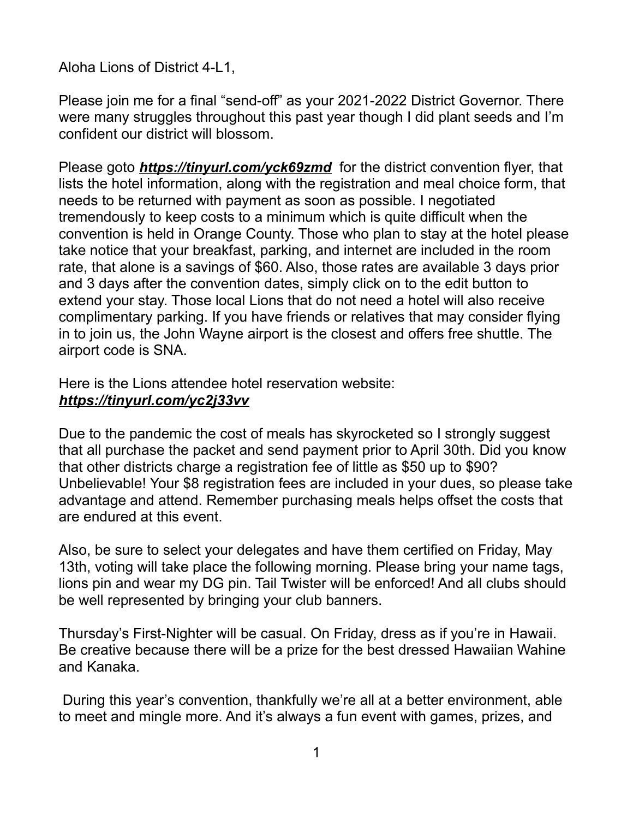## Aloha Lions of District 4-L1,

Please join me for a final "send-off" as your 2021-2022 District Governor. There were many struggles throughout this past year though I did plant seeds and I'm confident our district will blossom.

Please goto *https://tinyurl.com/yck69zmd* for the district convention flyer, that lists the hotel information, along with the registration and meal choice form, that needs to be returned with payment as soon as possible. I negotiated tremendously to keep costs to a minimum which is quite difficult when the convention is held in Orange County. Those who plan to stay at the hotel please take notice that your breakfast, parking, and internet are included in the room rate, that alone is a savings of \$60. Also, those rates are available 3 days prior and 3 days after the convention dates, simply click on to the edit button to extend your stay. Those local Lions that do not need a hotel will also receive complimentary parking. If you have friends or relatives that may consider flying in to join us, the John Wayne airport is the closest and offers free shuttle. The airport code is SNA.

Here is the Lions attendee hotel reservation website: *<https://tinyurl.com/yc2j33vv>*

Due to the pandemic the cost of meals has skyrocketed so I strongly suggest that all purchase the packet and send payment prior to April 30th. Did you know that other districts charge a registration fee of little as \$50 up to \$90? Unbelievable! Your \$8 registration fees are included in your dues, so please take advantage and attend. Remember purchasing meals helps offset the costs that are endured at this event.

Also, be sure to select your delegates and have them certified on Friday, May 13th, voting will take place the following morning. Please bring your name tags, lions pin and wear my DG pin. Tail Twister will be enforced! And all clubs should be well represented by bringing your club banners.

Thursday's First-Nighter will be casual. On Friday, dress as if you're in Hawaii. Be creative because there will be a prize for the best dressed Hawaiian Wahine and Kanaka.

 During this year's convention, thankfully we're all at a better environment, able to meet and mingle more. And it's always a fun event with games, prizes, and